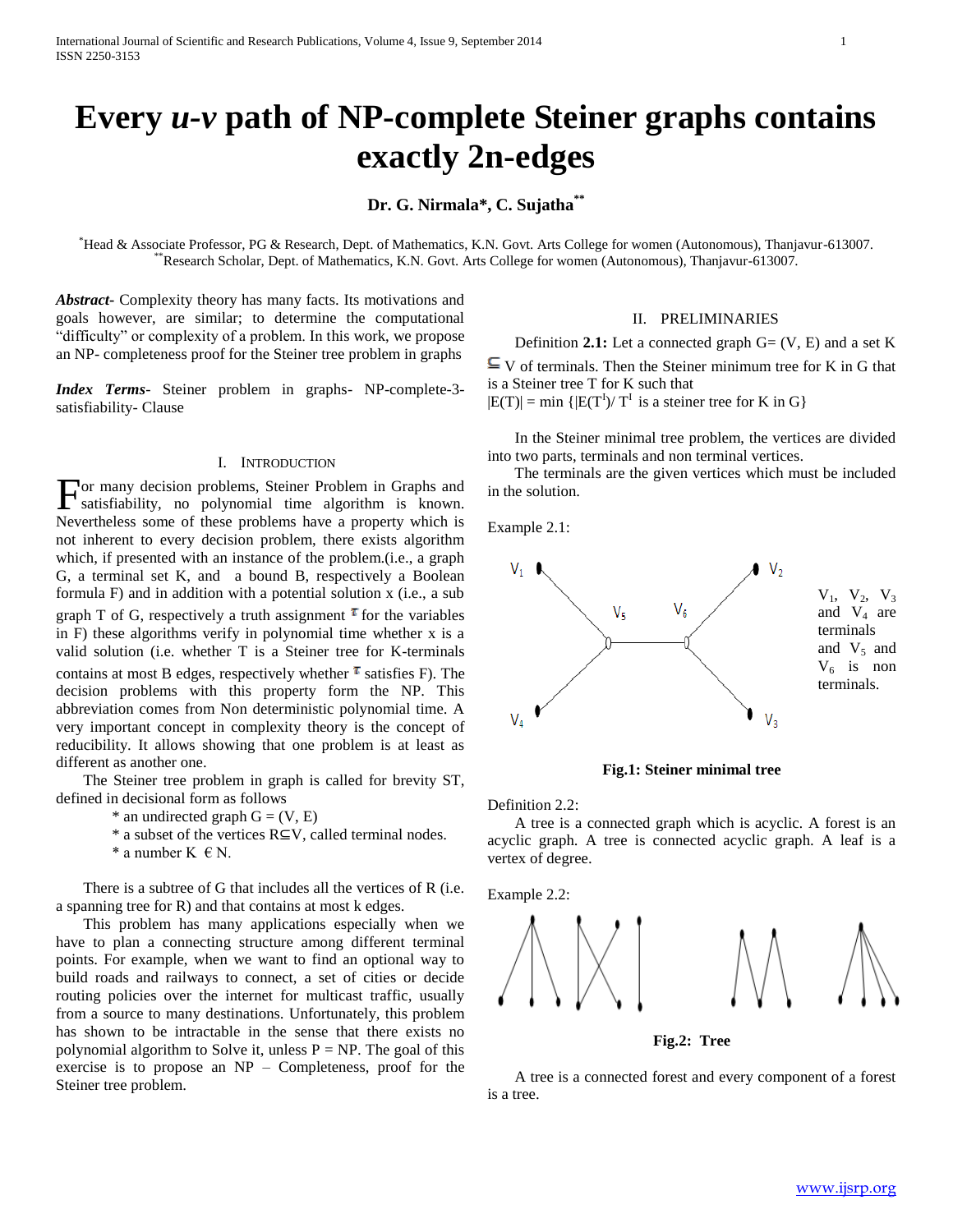# **Every** *u-v* **path of NP-complete Steiner graphs contains exactly 2n-edges**

**Dr. G. Nirmala\*, C. Sujatha\*\***

\*Head & Associate Professor, PG & Research, Dept. of Mathematics, K.N. Govt. Arts College for women (Autonomous), Thanjavur-613007. \*\*Research Scholar, Dept. of Mathematics, K.N. Govt. Arts College for women (Autonomous), Thanjavur-613007.

*Abstract***-** Complexity theory has many facts. Its motivations and goals however, are similar; to determine the computational "difficulty" or complexity of a problem. In this work, we propose an NP- completeness proof for the Steiner tree problem in graphs

*Index Terms*- Steiner problem in graphs- NP-complete-3 satisfiability- Clause

#### I. INTRODUCTION

For many decision problems, Steiner Problem in Graphs and satisfiability, no polynomial time algorithm is known. satisfiability, no polynomial time algorithm is known. Nevertheless some of these problems have a property which is not inherent to every decision problem, there exists algorithm which, if presented with an instance of the problem.(i.e., a graph G, a terminal set K, and a bound B, respectively a Boolean formula F) and in addition with a potential solution x (i.e., a sub graph T of G, respectively a truth assignment  $\tau$  for the variables in F) these algorithms verify in polynomial time whether x is a valid solution (i.e. whether T is a Steiner tree for K-terminals contains at most B edges, respectively whether  $\tau$  satisfies F). The decision problems with this property form the NP. This abbreviation comes from Non deterministic polynomial time. A very important concept in complexity theory is the concept of reducibility. It allows showing that one problem is at least as different as another one.

 The Steiner tree problem in graph is called for brevity ST, defined in decisional form as follows

- $*$  an undirected graph  $G = (V, E)$
- \* a subset of the vertices R⊆V, called terminal nodes.
- \* a number  $K \in N$ .

 There is a subtree of G that includes all the vertices of R (i.e. a spanning tree for R) and that contains at most k edges.

 This problem has many applications especially when we have to plan a connecting structure among different terminal points. For example, when we want to find an optional way to build roads and railways to connect, a set of cities or decide routing policies over the internet for multicast traffic, usually from a source to many destinations. Unfortunately, this problem has shown to be intractable in the sense that there exists no polynomial algorithm to Solve it, unless  $P = NP$ . The goal of this exercise is to propose an NP – Completeness, proof for the Steiner tree problem.

#### II. PRELIMINARIES

 Definition **2.1:** Let a connected graph G= (V, E) and a set K  $\subseteq$  V of terminals. Then the Steiner minimum tree for K in G that is a Steiner tree T for K such that  $|E(T)| = min \{ |E(T^{I})/ T^{I} \text{ is a steiner tree for K in G} \}$ 

 In the Steiner minimal tree problem, the vertices are divided into two parts, terminals and non terminal vertices.

 The terminals are the given vertices which must be included in the solution.

Example 2.1:



**Fig.1: Steiner minimal tree**

Definition 2.2:

 A tree is a connected graph which is acyclic. A forest is an acyclic graph. A tree is connected acyclic graph. A leaf is a vertex of degree.

Example 2.2:



**Fig.2: Tree**

 A tree is a connected forest and every component of a forest is a tree.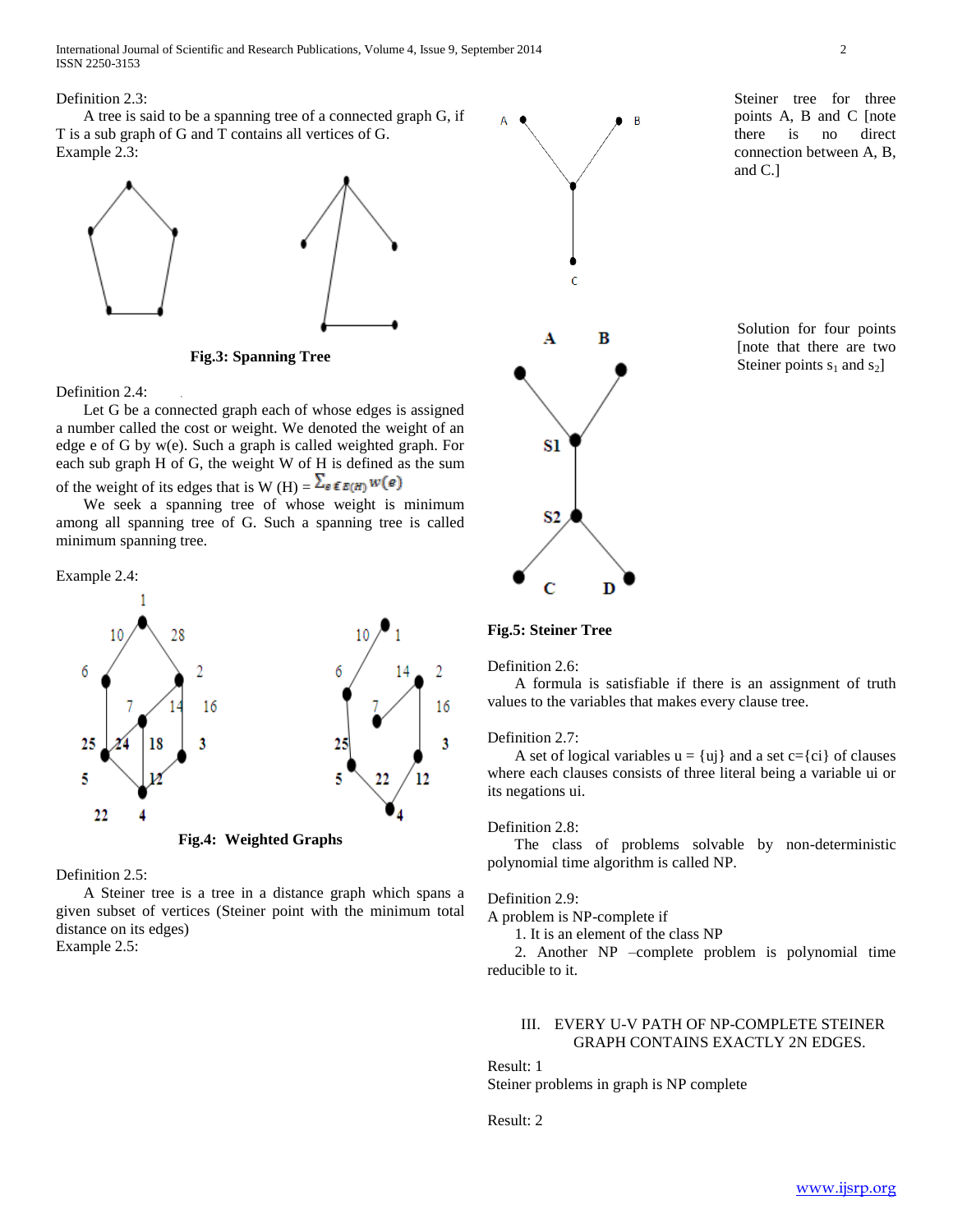International Journal of Scientific and Research Publications, Volume 4, Issue 9, September 2014 2 ISSN 2250-3153

 A tree is said to be a spanning tree of a connected graph G, if T is a sub graph of G and T contains all vertices of G. Example 2.3:



**Fig.3: Spanning Tree**

Definition 2.4:

 Let G be a connected graph each of whose edges is assigned a number called the cost or weight. We denoted the weight of an edge e of G by w(e). Such a graph is called weighted graph. For each sub graph H of G, the weight W of H is defined as the sum of the weight of its edges that is W (H) =  $\sum_{e \in E(H)} w(e)$ 

 We seek a spanning tree of whose weight is minimum among all spanning tree of G. Such a spanning tree is called minimum spanning tree.

## Example 2.4:



## Definition 2.5:

 A Steiner tree is a tree in a distance graph which spans a given subset of vertices (Steiner point with the minimum total distance on its edges) Example 2.5:



 $\Delta$ 

 $\overline{B}$ 

Steiner tree for three points A, B and C [note there is no direct connection between A, B, and C.]

Solution for four points [note that there are two Steiner points  $s_1$  and  $s_2$ ]

## **Fig.5: Steiner Tree**

Definition 2.6:

 A formula is satisfiable if there is an assignment of truth values to the variables that makes every clause tree.

#### Definition 2.7:

A set of logical variables  $u = \{u\}$  and a set  $c = \{ci\}$  of clauses where each clauses consists of three literal being a variable ui or its negations ui.

## Definition 2.8:

 The class of problems solvable by non-deterministic polynomial time algorithm is called NP.

#### Definition 2.9:

A problem is NP-complete if

1. It is an element of the class NP

 2. Another NP –complete problem is polynomial time reducible to it.

## III. EVERY U-V PATH OF NP-COMPLETE STEINER GRAPH CONTAINS EXACTLY 2N EDGES.

Result: 1

Steiner problems in graph is NP complete

Result: 2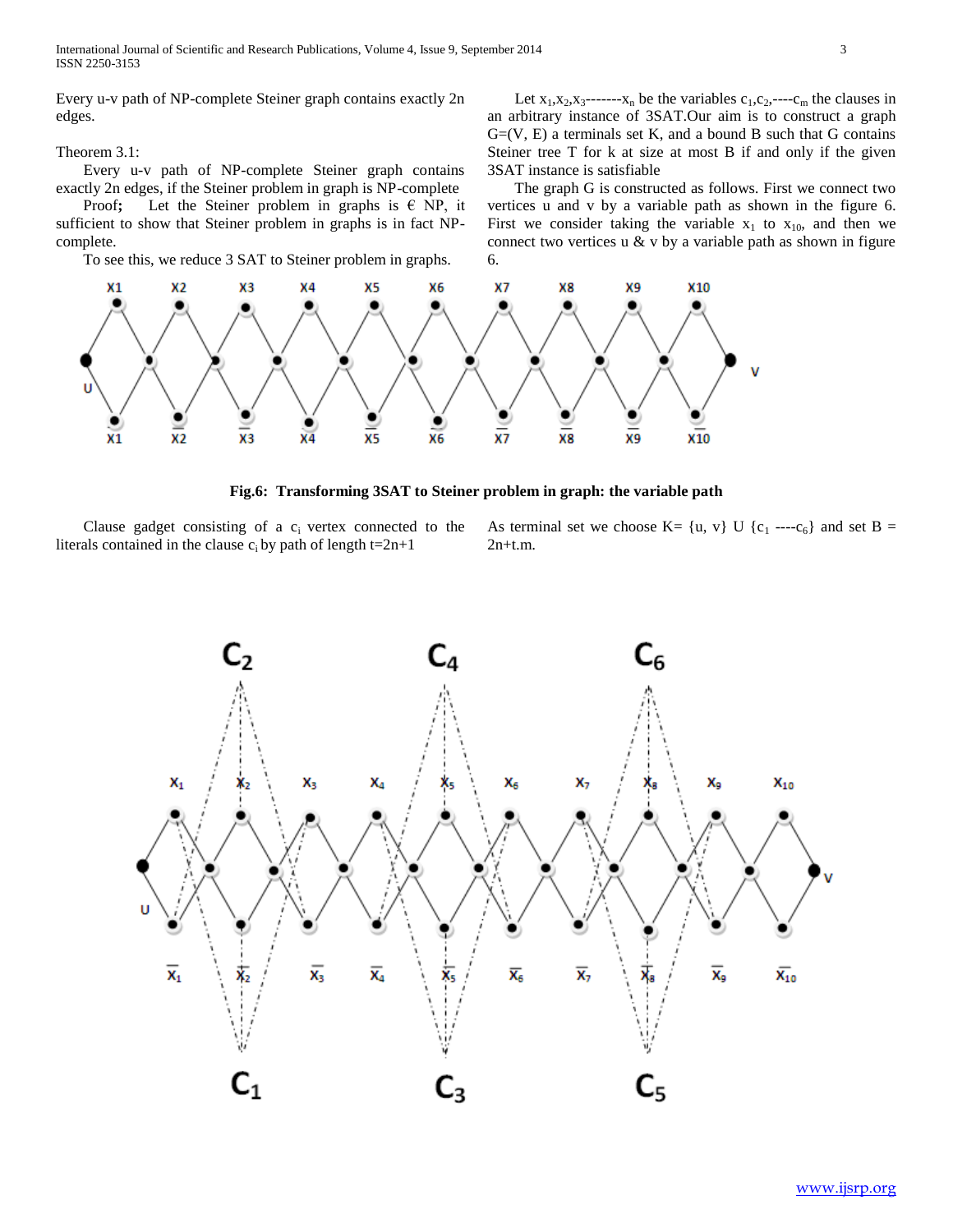International Journal of Scientific and Research Publications, Volume 4, Issue 9, September 2014 3 ISSN 2250-3153

Every u-v path of NP-complete Steiner graph contains exactly 2n edges.

Theorem 3.1:

 Every u-v path of NP-complete Steiner graph contains exactly 2n edges, if the Steiner problem in graph is NP-complete

Proof; Let the Steiner problem in graphs is  $\in$  NP, it sufficient to show that Steiner problem in graphs is in fact NPcomplete.

To see this, we reduce 3 SAT to Steiner problem in graphs.

Let  $x_1, x_2, x_3$ ------ $x_n$  be the variables  $c_1, c_2, \dots, c_m$  the clauses in an arbitrary instance of 3SAT.Our aim is to construct a graph  $G=(V, E)$  a terminals set K, and a bound B such that G contains Steiner tree T for k at size at most B if and only if the given 3SAT instance is satisfiable

 The graph G is constructed as follows. First we connect two vertices u and v by a variable path as shown in the figure 6. First we consider taking the variable  $x_1$  to  $x_{10}$ , and then we connect two vertices  $u \& v$  by a variable path as shown in figure 6.



**Fig.6: Transforming 3SAT to Steiner problem in graph: the variable path**

Clause gadget consisting of a  $c<sub>i</sub>$  vertex connected to the literals contained in the clause  $c_i$  by path of length t=2n+1

As terminal set we choose  $K = \{u, v\}$  U  $\{c_1 \cdots c_6\}$  and set B = 2n+t.m.